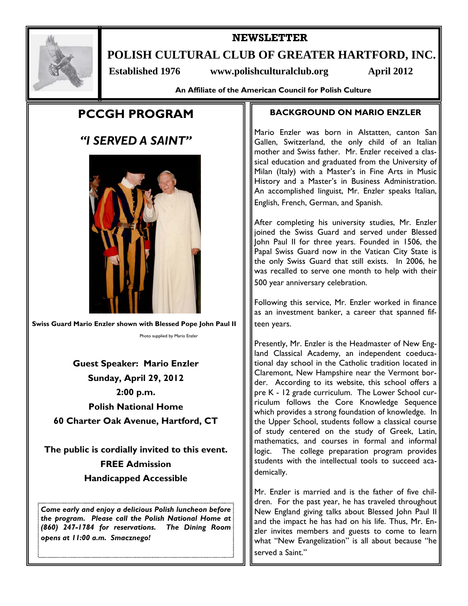

# **NEWSLETTER**

**POLISH CULTURAL CLUB OF GREATER HARTFORD, INC.** 

Established 1976 www.polishculturalclub.org April 2012

**An Affiliate of the American Council for Polish Culture** 

# **PCCGH PROGRAM**

# *"I SERVED A SAINT"*



**Swiss Guard Mario Enzler shown with Blessed Pope John Paul II** 

Photo supplied by Mario Enzler

**Guest Speaker: Mario Enzler Sunday, April 29, 2012 2:00 p.m. Polish National Home 60 Charter Oak Avenue, Hartford, CT** 

**The public is cordially invited to this event. FREE Admission Handicapped Accessible** 

*Come early and enjoy a delicious Polish luncheon before the program. Please call the Polish National Home at (860) 247-1784 for reservations. The Dining Room opens at 11:00 a.m. Smacznego!* 

# **BACKGROUND ON MARIO ENZLER**

Mario Enzler was born in Alstatten, canton San Gallen, Switzerland, the only child of an Italian mother and Swiss father. Mr. Enzler received a classical education and graduated from the University of Milan (Italy) with a Master's in Fine Arts in Music History and a Master's in Business Administration. An accomplished linguist, Mr. Enzler speaks Italian, English, French, German, and Spanish.

After completing his university studies, Mr. Enzler joined the Swiss Guard and served under Blessed John Paul II for three years. Founded in 1506, the Papal Swiss Guard now in the Vatican City State is the only Swiss Guard that still exists. In 2006, he was recalled to serve one month to help with their 500 year anniversary celebration.

Following this service, Mr. Enzler worked in finance as an investment banker, a career that spanned fifteen years.

Presently, Mr. Enzler is the Headmaster of New England Classical Academy, an independent coeducational day school in the Catholic tradition located in Claremont, New Hampshire near the Vermont border. According to its website, this school offers a pre K - 12 grade curriculum. The Lower School curriculum follows the Core Knowledge Sequence which provides a strong foundation of knowledge. In the Upper School, students follow a classical course of study centered on the study of Greek, Latin, mathematics, and courses in formal and informal logic. The college preparation program provides students with the intellectual tools to succeed academically.

Mr. Enzler is married and is the father of five children. For the past year, he has traveled throughout New England giving talks about Blessed John Paul II and the impact he has had on his life. Thus, Mr. Enzler invites members and guests to come to learn what "New Evangelization" is all about because "he served a Saint."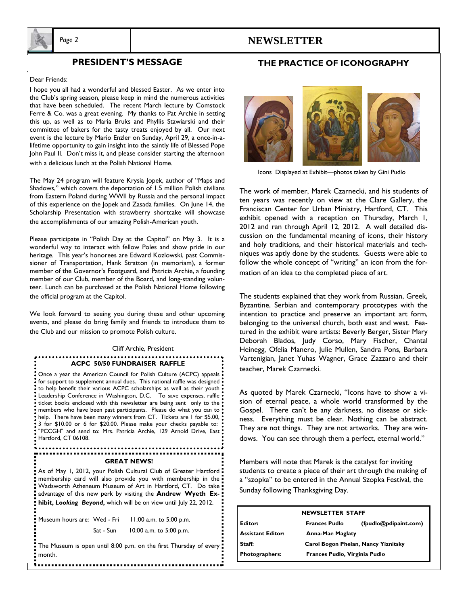

# *Page 2* **NEWSLETTER**

### **PRESIDENT'S MESSAGE**

#### Dear Friends:

I hope you all had a wonderful and blessed Easter. As we enter into the Club's spring season, please keep in mind the numerous activities that have been scheduled. The recent March lecture by Comstock Ferre & Co. was a great evening. My thanks to Pat Archie in setting this up, as well as to Maria Bruks and Phyllis Stawiarski and their committee of bakers for the tasty treats enjoyed by all. Our next event is the lecture by Mario Enzler on Sunday, April 29, a once-in-alifetime opportunity to gain insight into the saintly life of Blessed Pope John Paul II. Don't miss it, and please consider starting the afternoon with a delicious lunch at the Polish National Home.

The May 24 program will feature Krysia Jopek, author of "Maps and Shadows," which covers the deportation of 1.5 million Polish civilians from Eastern Poland during WWII by Russia and the personal impact of this experience on the Jopek and Zasada families. On June 14, the Scholarship Presentation with strawberry shortcake will showcase the accomplishments of our amazing Polish-American youth.

Please participate in "Polish Day at the Capitol" on May 3. It is a wonderful way to interact with fellow Poles and show pride in our heritage. This year's honorees are Edward Kozlowski, past Commissioner of Transportation, Hank Stratton (in memoriam), a former member of the Governor's Footguard, and Patricia Archie, a founding member of our Club, member of the Board, and long-standing volunteer. Lunch can be purchased at the Polish National Home following the official program at the Capitol.

We look forward to seeing you during these and other upcoming events, and please do bring family and friends to introduce them to the Club and our mission to promote Polish culture.

#### Cliff Archie, President

### **ACPC 50/50 FUNDRAISER RAFFLE**

Once a year the American Council for Polish Culture (ACPC) appeals for support to supplement annual dues. This national raffle was designed . to help benefit their various ACPC scholarships as well as their youth  $\frac{1}{2}$ Leadership Conference in Washington, D.C. To save expenses, raffle ticket books enclosed with this newsletter are being sent only to the  $\cdot$  members who have been past participants. Please do what you can to  $\cdot$ help. There have been many winners from CT. Tickets are 1 for \$5.00, 3 for \$10.00 or 6 for \$20.00. Please make your checks payable to: "PCCGH" and send to: Mrs. Patricia Archie, 129 Arnold Drive, East Hartford, CT 06108.

#### .................. **GREAT NEWS!**

As of May 1, 2012, your Polish Cultural Club of Greater Hartford: membership card will also provide you with membership in the Wadsworth Atheneum Museum of Art in Hartford, CT. Do take advantage of this new perk by visiting the **Andrew Wyeth Exhibit,** *Looking Beyond***,** which will be on view until July 22, 2012.

Museum hours are: Wed - Fri 11:00 a.m. to 5:00 p.m. Sat - Sun 10:00 a.m. to 5:00 p.m.

The Museum is open until 8:00 p.m. on the first Thursday of every month.



**THE PRACTICE OF ICONOGRAPHY** 

Icons Displayed at Exhibit—photos taken by Gini Pudlo

The work of member, Marek Czarnecki, and his students of ten years was recently on view at the Clare Gallery, the Franciscan Center for Urban Ministry, Hartford, CT. This exhibit opened with a reception on Thursday, March 1, 2012 and ran through April 12, 2012. A well detailed discussion on the fundamental meaning of icons, their history and holy traditions, and their historical materials and techniques was aptly done by the students. Guests were able to follow the whole concept of "writing" an icon from the formation of an idea to the completed piece of art.

The students explained that they work from Russian, Greek, Byzantine, Serbian and contemporary prototypes with the intention to practice and preserve an important art form, belonging to the universal church, both east and west. Featured in the exhibit were artists: Beverly Berger, Sister Mary Deborah Blados, Judy Corso, Mary Fischer, Chantal Heinegg, Ofelia Manero, Julie Mullen, Sandra Pons, Barbara Vartenigian, Janet Yuhas Wagner, Grace Zazzaro and their teacher, Marek Czarnecki.

As quoted by Marek Czarnecki, "Icons have to show a vision of eternal peace, a whole world transformed by the Gospel. There can't be any darkness, no disease or sickness. Everything must be clear. Nothing can be abstract. They are not things. They are not artworks. They are windows. You can see through them a perfect, eternal world."

Members will note that Marek is the catalyst for inviting students to create a piece of their art through the making of a "szopka" to be entered in the Annual Szopka Festival, the Sunday following Thanksgiving Day.

| <b>NEWSLETTER STAFF</b>  |                                     |                       |
|--------------------------|-------------------------------------|-----------------------|
| Editor:                  | <b>Frances Pudlo</b>                | (fpudlo@pdipaint.com) |
| <b>Assistant Editor:</b> | Anna-Mae Maglaty                    |                       |
| Staff:                   | Carol Bogon Phelan, Nancy Yiznitsky |                       |
| <b>Photographers:</b>    | Frances Pudlo, Virginia Pudlo       |                       |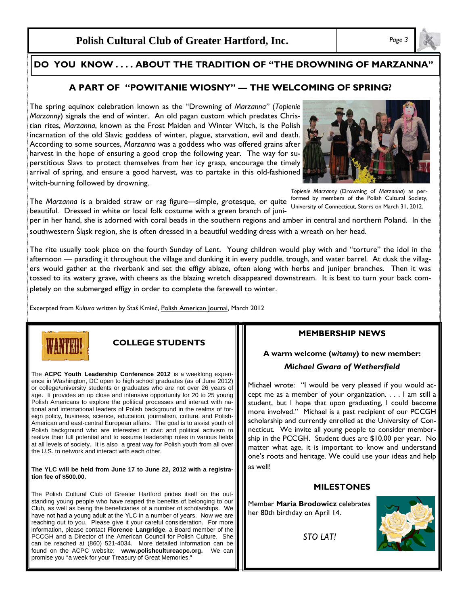**Polish Cultural Club of Greater Hartford, Inc.** *Page 3* 

#### **DID YOU KNOW . . . . DO YOU KNOW . . . . ABOUT THE TRADITION OF "THE DROWNING OF MARZANNA"**

### **A PART OF "POWITANIE WIOSNY" — THE WELCOMING OF SPRING?**

The spring equinox celebration known as the "Drowning of *Marzanna"* (*Topienie Marzanny*) signals the end of winter. An old pagan custom which predates Christian rites, *Marzanna*, known as the Frost Maiden and Winter Witch, is the Polish incarnation of the old Slavic goddess of winter, plague, starvation, evil and death. According to some sources, *Marzanna* was a goddess who was offered grains after harvest in the hope of ensuring a good crop the following year. The way for superstitious Slavs to protect themselves from her icy grasp, encourage the timely arrival of spring, and ensure a good harvest, was to partake in this old-fashioned witch-burning followed by drowning.

*Topienie Marzanny* (Drowning of *Marzanna*) as performed by members of the Polish Cultural Society,

The *Marzanna* is a braided straw or rag figure—simple, grotesque, or quite beautiful. Dressed in white or local folk costume with a green branch of juniper in her hand, she is adorned with coral beads in the southern regions and amber in central and northern Poland. In the University of Connecticut, Storrs on March 31, 2012.

southwestern Śląsk region, she is often dressed in a beautiful wedding dress with a wreath on her head.

The rite usually took place on the fourth Sunday of Lent. Young children would play with and "torture" the idol in the afternoon — parading it throughout the village and dunking it in every puddle, trough, and water barrel. At dusk the villagers would gather at the riverbank and set the effigy ablaze, often along with herbs and juniper branches. Then it was tossed to its watery grave, with cheers as the blazing wretch disappeared downstream. It is best to turn your back completely on the submerged effigy in order to complete the farewell to winter.

Excerpted from *Kultura* written by Staś Kmieć, Polish American Journal, March 2012



## **COLLEGE STUDENTS**

The **ACPC Youth Leadership Conference 2012** is a weeklong experience in Washington, DC open to high school graduates (as of June 2012) or college/university students or graduates who are not over 26 years of age. It provides an up close and intensive opportunity for 20 to 25 young Polish Americans to explore the political processes and interact with national and international leaders of Polish background in the realms of foreign policy, business, science, education, journalism, culture, and Polish-American and east-central European affairs. The goal is to assist youth of Polish background who are interested in civic and political activism to realize their full potential and to assume leadership roles in various fields at all levels of society. It is also a great way for Polish youth from all over the U.S. to network and interact with each other.

#### **The YLC will be held from June 17 to June 22, 2012 with a registration fee of \$500.00.**

The Polish Cultural Club of Greater Hartford prides itself on the outstanding young people who have reaped the benefits of belonging to our Club, as well as being the beneficiaries of a number of scholarships. We have not had a young adult at the YLC in a number of years. Now we are reaching out to you. Please give it your careful consideration. For more information, please contact **Florence Langridge**, a Board member of the PCCGH and a Director of the American Council for Polish Culture. She can be reached at (860) 521-4034. More detailed information can be found on the ACPC website: **www.polishcultureacpc.org.** We can promise you "a week for your Treasury of Great Memories."

### **MEMBERSHIP NEWS**

# **A warm welcome (***witamy***) to new member:** *Michael Gwara of Wethersfield*

Michael wrote: "I would be very pleased if you would accept me as a member of your organization. . . . I am still a student, but I hope that upon graduating, I could become more involved." Michael is a past recipient of our PCCGH scholarship and currently enrolled at the University of Connecticut. We invite all young people to consider membership in the PCCGH. Student dues are \$10.00 per year. No matter what age, it is important to know and understand one's roots and heritage. We could use your ideas and help as well!

### **MILESTONES**

Member **Maria Brodowicz** celebrates her 80th birthday on April 14.

*STO LAT!*